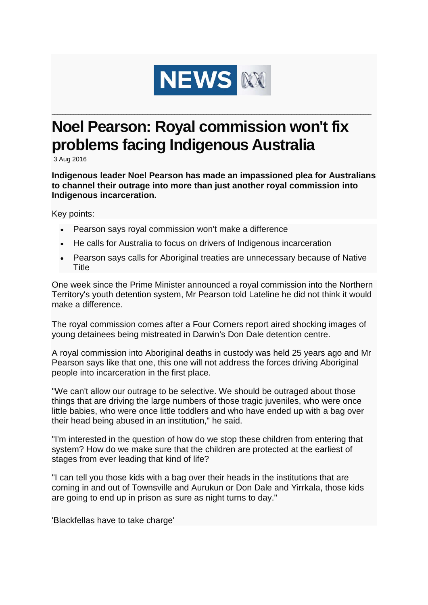

\_\_\_\_\_\_\_\_\_\_\_\_\_\_\_\_\_\_\_\_\_\_\_\_\_\_\_\_\_\_\_\_\_\_\_\_\_\_\_\_\_\_\_\_\_\_\_\_\_\_\_\_\_\_\_\_\_\_\_\_\_\_\_\_\_\_\_\_\_\_\_\_\_\_\_\_\_\_\_\_\_\_\_\_\_\_\_\_\_\_\_\_\_\_\_\_\_\_\_\_\_\_\_\_\_\_\_\_\_\_\_\_\_\_\_\_\_\_\_\_

## **Noel Pearson: Royal commission won't fix problems facing Indigenous Australia**

3 Aug 2016

**Indigenous leader Noel Pearson has made an impassioned plea for Australians to channel their outrage into more than just another royal commission into Indigenous incarceration.**

Key points:

- Pearson says royal commission won't make a difference
- He calls for Australia to focus on drivers of Indigenous incarceration
- Pearson says calls for Aboriginal treaties are unnecessary because of Native Title

One week since the Prime Minister announced a royal commission into the Northern Territory's youth detention system, Mr Pearson told Lateline he did not think it would make a difference.

The royal commission comes after a Four Corners report aired shocking images of young detainees being mistreated in Darwin's Don Dale detention centre.

A royal commission into Aboriginal deaths in custody was held 25 years ago and Mr Pearson says like that one, this one will not address the forces driving Aboriginal people into incarceration in the first place.

"We can't allow our outrage to be selective. We should be outraged about those things that are driving the large numbers of those tragic juveniles, who were once little babies, who were once little toddlers and who have ended up with a bag over their head being abused in an institution," he said.

"I'm interested in the question of how do we stop these children from entering that system? How do we make sure that the children are protected at the earliest of stages from ever leading that kind of life?

"I can tell you those kids with a bag over their heads in the institutions that are coming in and out of Townsville and Aurukun or Don Dale and Yirrkala, those kids are going to end up in prison as sure as night turns to day."

'Blackfellas have to take charge'